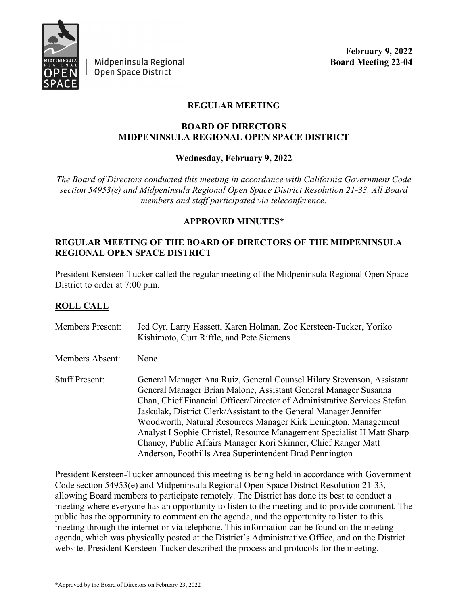

Midpeninsula Regional Open Space District

**February 9, 2022 Board Meeting 22-04**

#### **REGULAR MEETING**

#### **BOARD OF DIRECTORS MIDPENINSULA REGIONAL OPEN SPACE DISTRICT**

#### **Wednesday, February 9, 2022**

*The Board of Directors conducted this meeting in accordance with California Government Code section 54953(e) and Midpeninsula Regional Open Space District Resolution 21-33. All Board members and staff participated via teleconference.*

#### **APPROVED MINUTES\***

#### **REGULAR MEETING OF THE BOARD OF DIRECTORS OF THE MIDPENINSULA REGIONAL OPEN SPACE DISTRICT**

President Kersteen-Tucker called the regular meeting of the Midpeninsula Regional Open Space District to order at 7:00 p.m.

### **ROLL CALL**

| <b>Members Present:</b> | Jed Cyr, Larry Hassett, Karen Holman, Zoe Kersteen-Tucker, Yoriko<br>Kishimoto, Curt Riffle, and Pete Siemens                                                                                                                                                                                                                                                                                                                                                                                                                                                         |
|-------------------------|-----------------------------------------------------------------------------------------------------------------------------------------------------------------------------------------------------------------------------------------------------------------------------------------------------------------------------------------------------------------------------------------------------------------------------------------------------------------------------------------------------------------------------------------------------------------------|
| Members Absent:         | None                                                                                                                                                                                                                                                                                                                                                                                                                                                                                                                                                                  |
| <b>Staff Present:</b>   | General Manager Ana Ruiz, General Counsel Hilary Stevenson, Assistant<br>General Manager Brian Malone, Assistant General Manager Susanna<br>Chan, Chief Financial Officer/Director of Administrative Services Stefan<br>Jaskulak, District Clerk/Assistant to the General Manager Jennifer<br>Woodworth, Natural Resources Manager Kirk Lenington, Management<br>Analyst I Sophie Christel, Resource Management Specialist II Matt Sharp<br>Chaney, Public Affairs Manager Kori Skinner, Chief Ranger Matt<br>Anderson, Foothills Area Superintendent Brad Pennington |

President Kersteen-Tucker announced this meeting is being held in accordance with Government Code section 54953(e) and Midpeninsula Regional Open Space District Resolution 21-33, allowing Board members to participate remotely. The District has done its best to conduct a meeting where everyone has an opportunity to listen to the meeting and to provide comment. The public has the opportunity to comment on the agenda, and the opportunity to listen to this meeting through the internet or via telephone. This information can be found on the meeting agenda, which was physically posted at the District's Administrative Office, and on the District website. President Kersteen-Tucker described the process and protocols for the meeting.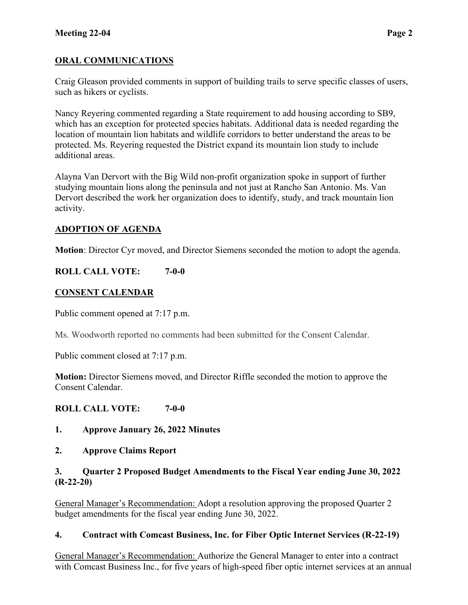# **ORAL COMMUNICATIONS**

Craig Gleason provided comments in support of building trails to serve specific classes of users, such as hikers or cyclists.

Nancy Reyering commented regarding a State requirement to add housing according to SB9, which has an exception for protected species habitats. Additional data is needed regarding the location of mountain lion habitats and wildlife corridors to better understand the areas to be protected. Ms. Reyering requested the District expand its mountain lion study to include additional areas.

Alayna Van Dervort with the Big Wild non-profit organization spoke in support of further studying mountain lions along the peninsula and not just at Rancho San Antonio. Ms. Van Dervort described the work her organization does to identify, study, and track mountain lion activity.

# **ADOPTION OF AGENDA**

**Motion**: Director Cyr moved, and Director Siemens seconded the motion to adopt the agenda.

# **ROLL CALL VOTE: 7-0-0**

# **CONSENT CALENDAR**

Public comment opened at 7:17 p.m.

Ms. Woodworth reported no comments had been submitted for the Consent Calendar.

Public comment closed at 7:17 p.m.

**Motion:** Director Siemens moved, and Director Riffle seconded the motion to approve the Consent Calendar.

# **ROLL CALL VOTE: 7-0-0**

- **1. Approve January 26, 2022 Minutes**
- **2. Approve Claims Report**

## **3. Quarter 2 Proposed Budget Amendments to the Fiscal Year ending June 30, 2022 (R-22-20)**

General Manager's Recommendation: Adopt a resolution approving the proposed Quarter 2 budget amendments for the fiscal year ending June 30, 2022.

## **4. Contract with Comcast Business, Inc. for Fiber Optic Internet Services (R-22-19)**

General Manager's Recommendation: Authorize the General Manager to enter into a contract with Comcast Business Inc., for five years of high-speed fiber optic internet services at an annual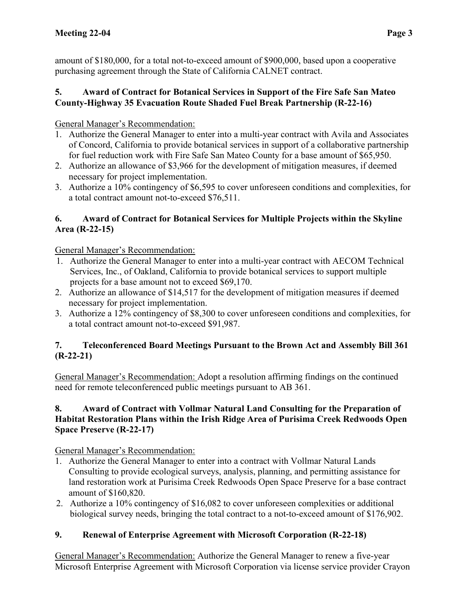amount of \$180,000, for a total not-to-exceed amount of \$900,000, based upon a cooperative purchasing agreement through the State of California CALNET contract.

#### **5. Award of Contract for Botanical Services in Support of the Fire Safe San Mateo County-Highway 35 Evacuation Route Shaded Fuel Break Partnership (R-22-16)**

General Manager's Recommendation:

- 1. Authorize the General Manager to enter into a multi-year contract with Avila and Associates of Concord, California to provide botanical services in support of a collaborative partnership for fuel reduction work with Fire Safe San Mateo County for a base amount of \$65,950.
- 2. Authorize an allowance of \$3,966 for the development of mitigation measures, if deemed necessary for project implementation.
- 3. Authorize a 10% contingency of \$6,595 to cover unforeseen conditions and complexities, for a total contract amount not-to-exceed \$76,511.

## **6. Award of Contract for Botanical Services for Multiple Projects within the Skyline Area (R-22-15)**

General Manager's Recommendation:

- 1. Authorize the General Manager to enter into a multi-year contract with AECOM Technical Services, Inc., of Oakland, California to provide botanical services to support multiple projects for a base amount not to exceed \$69,170.
- 2. Authorize an allowance of \$14,517 for the development of mitigation measures if deemed necessary for project implementation.
- 3. Authorize a 12% contingency of \$8,300 to cover unforeseen conditions and complexities, for a total contract amount not-to-exceed \$91,987.

## **7. Teleconferenced Board Meetings Pursuant to the Brown Act and Assembly Bill 361 (R-22-21)**

General Manager's Recommendation: Adopt a resolution affirming findings on the continued need for remote teleconferenced public meetings pursuant to AB 361.

### **8. Award of Contract with Vollmar Natural Land Consulting for the Preparation of Habitat Restoration Plans within the Irish Ridge Area of Purisima Creek Redwoods Open Space Preserve (R-22-17)**

General Manager's Recommendation:

- 1. Authorize the General Manager to enter into a contract with Vollmar Natural Lands Consulting to provide ecological surveys, analysis, planning, and permitting assistance for land restoration work at Purisima Creek Redwoods Open Space Preserve for a base contract amount of \$160,820.
- 2. Authorize a 10% contingency of \$16,082 to cover unforeseen complexities or additional biological survey needs, bringing the total contract to a not-to-exceed amount of \$176,902.

## **9. Renewal of Enterprise Agreement with Microsoft Corporation (R-22-18)**

General Manager's Recommendation: Authorize the General Manager to renew a five-year Microsoft Enterprise Agreement with Microsoft Corporation via license service provider Crayon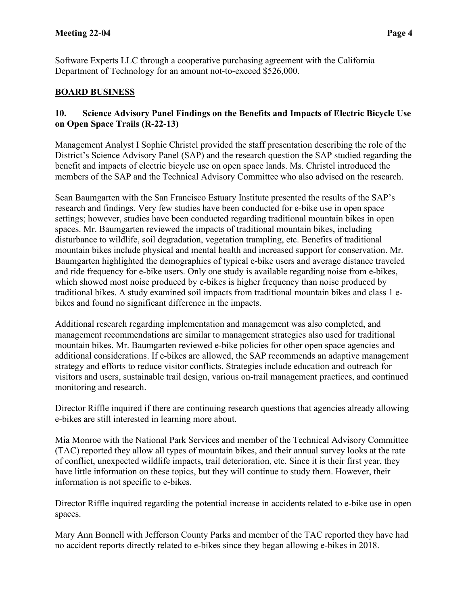Software Experts LLC through a cooperative purchasing agreement with the California Department of Technology for an amount not-to-exceed \$526,000.

### **BOARD BUSINESS**

#### **10. Science Advisory Panel Findings on the Benefits and Impacts of Electric Bicycle Use on Open Space Trails (R-22-13)**

Management Analyst I Sophie Christel provided the staff presentation describing the role of the District's Science Advisory Panel (SAP) and the research question the SAP studied regarding the benefit and impacts of electric bicycle use on open space lands. Ms. Christel introduced the members of the SAP and the Technical Advisory Committee who also advised on the research.

Sean Baumgarten with the San Francisco Estuary Institute presented the results of the SAP's research and findings. Very few studies have been conducted for e-bike use in open space settings; however, studies have been conducted regarding traditional mountain bikes in open spaces. Mr. Baumgarten reviewed the impacts of traditional mountain bikes, including disturbance to wildlife, soil degradation, vegetation trampling, etc. Benefits of traditional mountain bikes include physical and mental health and increased support for conservation. Mr. Baumgarten highlighted the demographics of typical e-bike users and average distance traveled and ride frequency for e-bike users. Only one study is available regarding noise from e-bikes, which showed most noise produced by e-bikes is higher frequency than noise produced by traditional bikes. A study examined soil impacts from traditional mountain bikes and class 1 ebikes and found no significant difference in the impacts.

Additional research regarding implementation and management was also completed, and management recommendations are similar to management strategies also used for traditional mountain bikes. Mr. Baumgarten reviewed e-bike policies for other open space agencies and additional considerations. If e-bikes are allowed, the SAP recommends an adaptive management strategy and efforts to reduce visitor conflicts. Strategies include education and outreach for visitors and users, sustainable trail design, various on-trail management practices, and continued monitoring and research.

Director Riffle inquired if there are continuing research questions that agencies already allowing e-bikes are still interested in learning more about.

Mia Monroe with the National Park Services and member of the Technical Advisory Committee (TAC) reported they allow all types of mountain bikes, and their annual survey looks at the rate of conflict, unexpected wildlife impacts, trail deterioration, etc. Since it is their first year, they have little information on these topics, but they will continue to study them. However, their information is not specific to e-bikes.

Director Riffle inquired regarding the potential increase in accidents related to e-bike use in open spaces.

Mary Ann Bonnell with Jefferson County Parks and member of the TAC reported they have had no accident reports directly related to e-bikes since they began allowing e-bikes in 2018.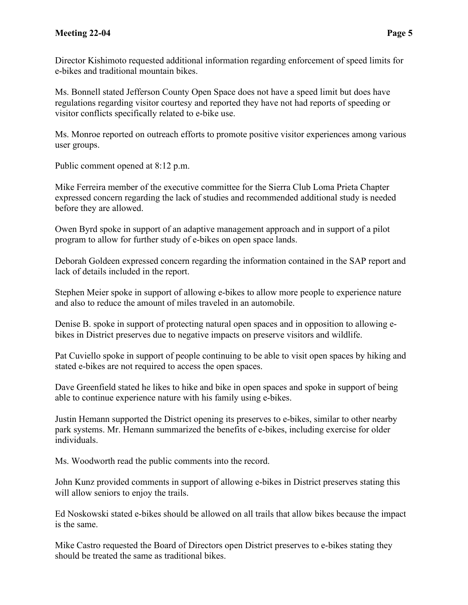Director Kishimoto requested additional information regarding enforcement of speed limits for e-bikes and traditional mountain bikes.

Ms. Bonnell stated Jefferson County Open Space does not have a speed limit but does have regulations regarding visitor courtesy and reported they have not had reports of speeding or visitor conflicts specifically related to e-bike use.

Ms. Monroe reported on outreach efforts to promote positive visitor experiences among various user groups.

Public comment opened at 8:12 p.m.

Mike Ferreira member of the executive committee for the Sierra Club Loma Prieta Chapter expressed concern regarding the lack of studies and recommended additional study is needed before they are allowed.

Owen Byrd spoke in support of an adaptive management approach and in support of a pilot program to allow for further study of e-bikes on open space lands.

Deborah Goldeen expressed concern regarding the information contained in the SAP report and lack of details included in the report.

Stephen Meier spoke in support of allowing e-bikes to allow more people to experience nature and also to reduce the amount of miles traveled in an automobile.

Denise B. spoke in support of protecting natural open spaces and in opposition to allowing ebikes in District preserves due to negative impacts on preserve visitors and wildlife.

Pat Cuviello spoke in support of people continuing to be able to visit open spaces by hiking and stated e-bikes are not required to access the open spaces.

Dave Greenfield stated he likes to hike and bike in open spaces and spoke in support of being able to continue experience nature with his family using e-bikes.

Justin Hemann supported the District opening its preserves to e-bikes, similar to other nearby park systems. Mr. Hemann summarized the benefits of e-bikes, including exercise for older individuals.

Ms. Woodworth read the public comments into the record.

John Kunz provided comments in support of allowing e-bikes in District preserves stating this will allow seniors to enjoy the trails.

Ed Noskowski stated e-bikes should be allowed on all trails that allow bikes because the impact is the same.

Mike Castro requested the Board of Directors open District preserves to e-bikes stating they should be treated the same as traditional bikes.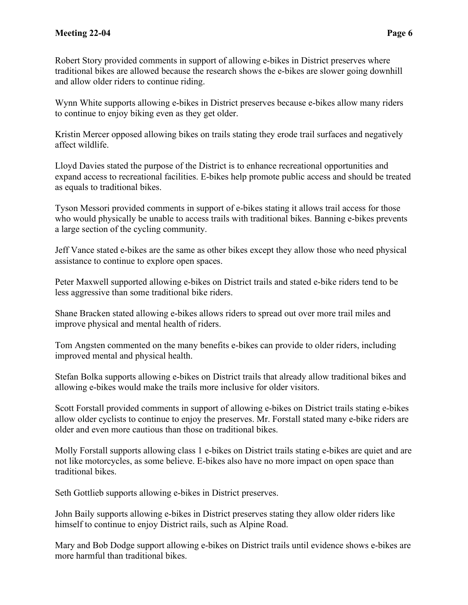Robert Story provided comments in support of allowing e-bikes in District preserves where traditional bikes are allowed because the research shows the e-bikes are slower going downhill and allow older riders to continue riding.

Wynn White supports allowing e-bikes in District preserves because e-bikes allow many riders to continue to enjoy biking even as they get older.

Kristin Mercer opposed allowing bikes on trails stating they erode trail surfaces and negatively affect wildlife.

Lloyd Davies stated the purpose of the District is to enhance recreational opportunities and expand access to recreational facilities. E-bikes help promote public access and should be treated as equals to traditional bikes.

Tyson Messori provided comments in support of e-bikes stating it allows trail access for those who would physically be unable to access trails with traditional bikes. Banning e-bikes prevents a large section of the cycling community.

Jeff Vance stated e-bikes are the same as other bikes except they allow those who need physical assistance to continue to explore open spaces.

Peter Maxwell supported allowing e-bikes on District trails and stated e-bike riders tend to be less aggressive than some traditional bike riders.

Shane Bracken stated allowing e-bikes allows riders to spread out over more trail miles and improve physical and mental health of riders.

Tom Angsten commented on the many benefits e-bikes can provide to older riders, including improved mental and physical health.

Stefan Bolka supports allowing e-bikes on District trails that already allow traditional bikes and allowing e-bikes would make the trails more inclusive for older visitors.

Scott Forstall provided comments in support of allowing e-bikes on District trails stating e-bikes allow older cyclists to continue to enjoy the preserves. Mr. Forstall stated many e-bike riders are older and even more cautious than those on traditional bikes.

Molly Forstall supports allowing class 1 e-bikes on District trails stating e-bikes are quiet and are not like motorcycles, as some believe. E-bikes also have no more impact on open space than traditional bikes.

Seth Gottlieb supports allowing e-bikes in District preserves.

John Baily supports allowing e-bikes in District preserves stating they allow older riders like himself to continue to enjoy District rails, such as Alpine Road.

Mary and Bob Dodge support allowing e-bikes on District trails until evidence shows e-bikes are more harmful than traditional bikes.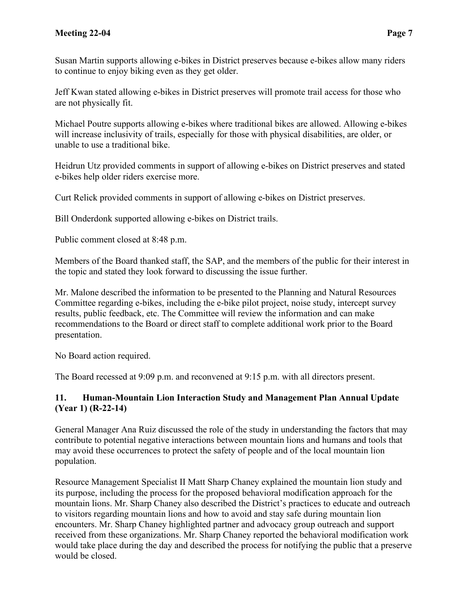Susan Martin supports allowing e-bikes in District preserves because e-bikes allow many riders to continue to enjoy biking even as they get older.

Jeff Kwan stated allowing e-bikes in District preserves will promote trail access for those who are not physically fit.

Michael Poutre supports allowing e-bikes where traditional bikes are allowed. Allowing e-bikes will increase inclusivity of trails, especially for those with physical disabilities, are older, or unable to use a traditional bike.

Heidrun Utz provided comments in support of allowing e-bikes on District preserves and stated e-bikes help older riders exercise more.

Curt Relick provided comments in support of allowing e-bikes on District preserves.

Bill Onderdonk supported allowing e-bikes on District trails.

Public comment closed at 8:48 p.m.

Members of the Board thanked staff, the SAP, and the members of the public for their interest in the topic and stated they look forward to discussing the issue further.

Mr. Malone described the information to be presented to the Planning and Natural Resources Committee regarding e-bikes, including the e-bike pilot project, noise study, intercept survey results, public feedback, etc. The Committee will review the information and can make recommendations to the Board or direct staff to complete additional work prior to the Board presentation.

No Board action required.

The Board recessed at 9:09 p.m. and reconvened at 9:15 p.m. with all directors present.

### **11. Human-Mountain Lion Interaction Study and Management Plan Annual Update (Year 1) (R-22-14)**

General Manager Ana Ruiz discussed the role of the study in understanding the factors that may contribute to potential negative interactions between mountain lions and humans and tools that may avoid these occurrences to protect the safety of people and of the local mountain lion population.

Resource Management Specialist II Matt Sharp Chaney explained the mountain lion study and its purpose, including the process for the proposed behavioral modification approach for the mountain lions. Mr. Sharp Chaney also described the District's practices to educate and outreach to visitors regarding mountain lions and how to avoid and stay safe during mountain lion encounters. Mr. Sharp Chaney highlighted partner and advocacy group outreach and support received from these organizations. Mr. Sharp Chaney reported the behavioral modification work would take place during the day and described the process for notifying the public that a preserve would be closed.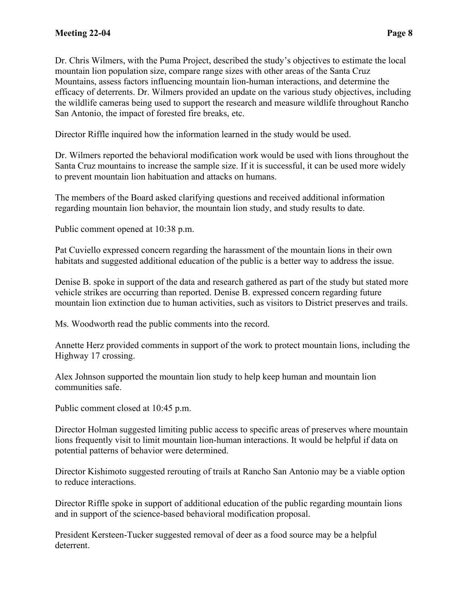Dr. Chris Wilmers, with the Puma Project, described the study's objectives to estimate the local mountain lion population size, compare range sizes with other areas of the Santa Cruz Mountains, assess factors influencing mountain lion-human interactions, and determine the efficacy of deterrents. Dr. Wilmers provided an update on the various study objectives, including the wildlife cameras being used to support the research and measure wildlife throughout Rancho San Antonio, the impact of forested fire breaks, etc.

Director Riffle inquired how the information learned in the study would be used.

Dr. Wilmers reported the behavioral modification work would be used with lions throughout the Santa Cruz mountains to increase the sample size. If it is successful, it can be used more widely to prevent mountain lion habituation and attacks on humans.

The members of the Board asked clarifying questions and received additional information regarding mountain lion behavior, the mountain lion study, and study results to date.

Public comment opened at 10:38 p.m.

Pat Cuviello expressed concern regarding the harassment of the mountain lions in their own habitats and suggested additional education of the public is a better way to address the issue.

Denise B. spoke in support of the data and research gathered as part of the study but stated more vehicle strikes are occurring than reported. Denise B. expressed concern regarding future mountain lion extinction due to human activities, such as visitors to District preserves and trails.

Ms. Woodworth read the public comments into the record.

Annette Herz provided comments in support of the work to protect mountain lions, including the Highway 17 crossing.

Alex Johnson supported the mountain lion study to help keep human and mountain lion communities safe.

Public comment closed at 10:45 p.m.

Director Holman suggested limiting public access to specific areas of preserves where mountain lions frequently visit to limit mountain lion-human interactions. It would be helpful if data on potential patterns of behavior were determined.

Director Kishimoto suggested rerouting of trails at Rancho San Antonio may be a viable option to reduce interactions.

Director Riffle spoke in support of additional education of the public regarding mountain lions and in support of the science-based behavioral modification proposal.

President Kersteen-Tucker suggested removal of deer as a food source may be a helpful deterrent.